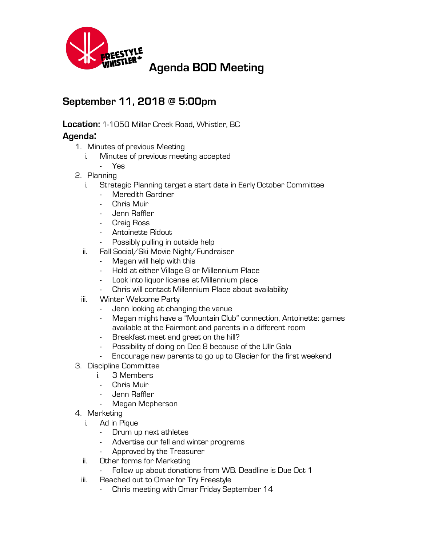

## **September 11, 2018 @ 5:00pm**

**Location:** 1-1050 Millar Creek Road, Whistler, BC

## **Agenda:**

- 1. Minutes of previous Meeting
	- i. Minutes of previous meeting accepted
		- Yes
- 2. Planning
	- i. Strategic Planning target a start date in Early October Committee
		- Meredith Gardner
		- Chris Muir
		- Jenn Raffler
		- Craig Ross
		- Antoinette Ridout
		- Possibly pulling in outside help
	- ii. Fall Social/Ski Movie Night/Fundraiser
		- Megan will help with this
		- Hold at either Village 8 or Millennium Place
		- Look into liquor license at Millennium place
		- Chris will contact Millennium Place about availability
	- iii. Winter Welcome Party
		- Jenn looking at changing the venue
		- Megan might have a "Mountain Club" connection, Antoinette: games available at the Fairmont and parents in a different room
		- Breakfast meet and greet on the hill?
		- Possibility of doing on Dec 8 because of the Ullr Gala
		- Encourage new parents to go up to Glacier for the first weekend
- 3. Discipline Committee
	- i. 3 Members
		- Chris Muir
	- Jenn Raffler
	- Megan Mcpherson
- 4. Marketing
	- i. Ad in Pique
		- Drum up next athletes
		- Advertise our fall and winter programs
		- Approved by the Treasurer
	- ii. Other forms for Marketing
		- Follow up about donations from WB. Deadline is Due Oct 1
	- iii. Reached out to Omar for Try Freestyle
		- Chris meeting with Omar Friday September 14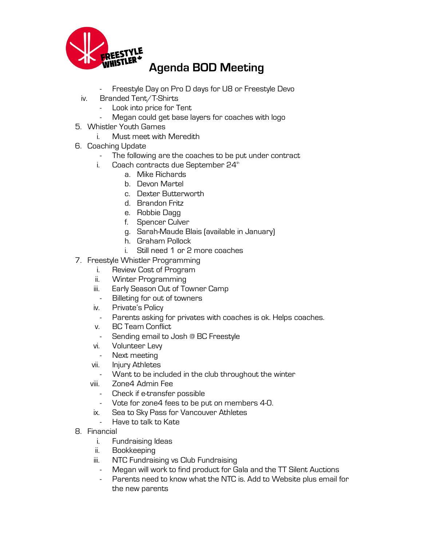

- Freestyle Day on Pro D days for U8 or Freestyle Devo
- iv. Branded Tent/T-Shirts
	- Look into price for Tent
	- Megan could get base layers for coaches with logo
- 5. Whistler Youth Games
	- i. Must meet with Meredith
- 6. Coaching Update
	- The following are the coaches to be put under contract
	- i. Coach contracts due September  $24<sup>th</sup>$ 
		- a. Mike Richards
		- b. Devon Martel
		- c. Dexter Butterworth
		- d. Brandon Fritz
		- e. Robbie Dagg
		- f. Spencer Culver
		- g. Sarah-Maude Blais (available in January)
		- h. Graham Pollock
		- i. Still need 1 or 2 more coaches
- 7. Freestyle Whistler Programming
	- i. Review Cost of Program
	- ii. Winter Programming
	- iii. Early Season Out of Towner Camp
	- Billeting for out of towners
	- iv. Private's Policy
		- Parents asking for privates with coaches is ok. Helps coaches.
	- v. BC Team Conflict
	- Sending email to Josh @ BC Freestyle
	- vi. Volunteer Levy
		- Next meeting
	- vii. Injury Athletes
	- Want to be included in the club throughout the winter
	- viii. Zone4 Admin Fee
		- Check if e-transfer possible
		- Vote for zone4 fees to be put on members 4-0.
	- ix. Sea to Sky Pass for Vancouver Athletes
		- Have to talk to Kate
- 8. Financial
	- i. Fundraising Ideas
	- ii. Bookkeeping
	- iii. NTC Fundraising vs Club Fundraising
		- Megan will work to find product for Gala and the TT Silent Auctions
		- Parents need to know what the NTC is. Add to Website plus email for the new parents